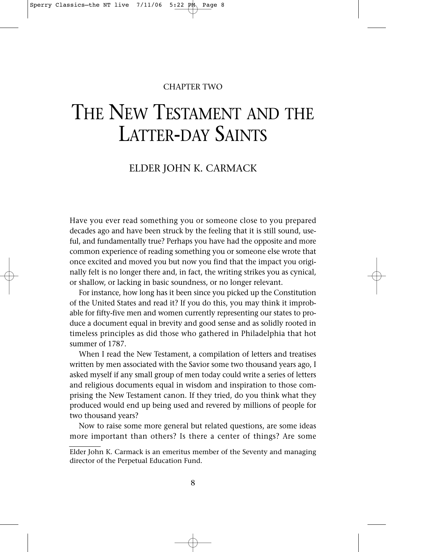# CHAPTER TWO

# THE NEW TESTAMENT AND THE LATTER-DAY SAINTS

# ELDER JOHN K. CARMACK

Have you ever read something you or someone close to you prepared decades ago and have been struck by the feeling that it is still sound, useful, and fundamentally true? Perhaps you have had the opposite and more common experience of reading something you or someone else wrote that once excited and moved you but now you find that the impact you originally felt is no longer there and, in fact, the writing strikes you as cynical, or shallow, or lacking in basic soundness, or no longer relevant.

For instance, how long has it been since you picked up the Constitution of the United States and read it? If you do this, you may think it improbable for fifty-five men and women currently representing our states to produce a document equal in brevity and good sense and as solidly rooted in timeless principles as did those who gathered in Philadelphia that hot summer of 1787.

When I read the New Testament, a compilation of letters and treatises written by men associated with the Savior some two thousand years ago, I asked myself if any small group of men today could write a series of letters and religious documents equal in wisdom and inspiration to those comprising the New Testament canon. If they tried, do you think what they produced would end up being used and revered by millions of people for two thousand years?

Now to raise some more general but related questions, are some ideas more important than others? Is there a center of things? Are some

Elder John K. Carmack is an emeritus member of the Seventy and managing director of the Perpetual Education Fund.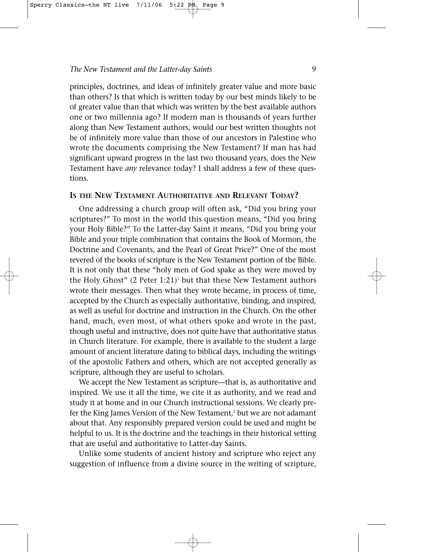principles, doctrines, and ideas of infinitely greater value and more basic than others? Is that which is written today by our best minds likely to be of greater value than that which was written by the best available authors one or two millennia ago? If modern man is thousands of years further along than New Testament authors, would our best written thoughts not be of infinitely more value than those of our ancestors in Palestine who wrote the documents comprising the New Testament? If man has had significant upward progress in the last two thousand years, does the New Testament have *any* relevance today? I shall address a few of these questions.

#### **IS THE NEW TESTAMENT AUTHORITATIVE AND RELEVANT TODAY?**

One addressing a church group will often ask, "Did you bring your scriptures?" To most in the world this question means, "Did you bring your Holy Bible?" To the Latter-day Saint it means, "Did you bring your Bible and your triple combination that contains the Book of Mormon, the Doctrine and Covenants, and the Pearl of Great Price?" One of the most revered of the books of scripture is the New Testament portion of the Bible. It is not only that these "holy men of God spake as they were moved by the Holy Ghost"  $(2$  Peter 1:21)<sup>1</sup> but that these New Testament authors wrote their messages. Then what they wrote became, in process of time, accepted by the Church as especially authoritative, binding, and inspired, as well as useful for doctrine and instruction in the Church. On the other hand, much, even most, of what others spoke and wrote in the past, though useful and instructive, does not quite have that authoritative status in Church literature. For example, there is available to the student a large amount of ancient literature dating to biblical days, including the writings of the apostolic Fathers and others, which are not accepted generally as scripture, although they are useful to scholars.

We accept the New Testament as scripture—that is, as authoritative and inspired. We use it all the time, we cite it as authority, and we read and study it at home and in our Church instructional sessions. We clearly prefer the King James Version of the New Testament,<sup>2</sup> but we are not adamant about that. Any responsibly prepared version could be used and might be helpful to us. It is the doctrine and the teachings in their historical setting that are useful and authoritative to Latter-day Saints.

Unlike some students of ancient history and scripture who reject any suggestion of influence from a divine source in the writing of scripture,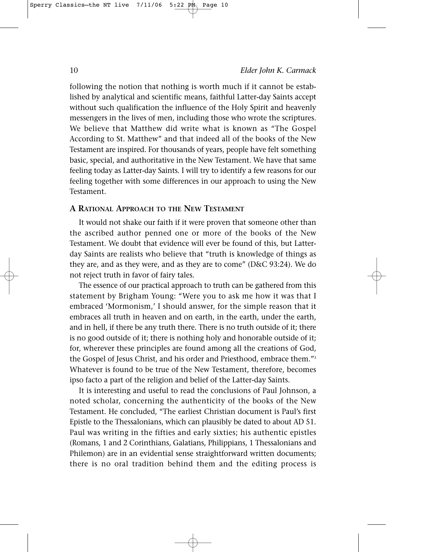following the notion that nothing is worth much if it cannot be established by analytical and scientific means, faithful Latter-day Saints accept without such qualification the influence of the Holy Spirit and heavenly messengers in the lives of men, including those who wrote the scriptures. We believe that Matthew did write what is known as "The Gospel According to St. Matthew" and that indeed all of the books of the New Testament are inspired. For thousands of years, people have felt something basic, special, and authoritative in the New Testament. We have that same feeling today as Latter-day Saints. I will try to identify a few reasons for our feeling together with some differences in our approach to using the New Testament.

### **A RATIONAL APPROACH TO THE NEW TESTAMENT**

It would not shake our faith if it were proven that someone other than the ascribed author penned one or more of the books of the New Testament. We doubt that evidence will ever be found of this, but Latterday Saints are realists who believe that "truth is knowledge of things as they are, and as they were, and as they are to come" (D&C 93:24). We do not reject truth in favor of fairy tales.

The essence of our practical approach to truth can be gathered from this statement by Brigham Young: "Were you to ask me how it was that I embraced 'Mormonism,' I should answer, for the simple reason that it embraces all truth in heaven and on earth, in the earth, under the earth, and in hell, if there be any truth there. There is no truth outside of it; there is no good outside of it; there is nothing holy and honorable outside of it; for, wherever these principles are found among all the creations of God, the Gospel of Jesus Christ, and his order and Priesthood, embrace them."3 Whatever is found to be true of the New Testament, therefore, becomes ipso facto a part of the religion and belief of the Latter-day Saints.

It is interesting and useful to read the conclusions of Paul Johnson, a noted scholar, concerning the authenticity of the books of the New Testament. He concluded, "The earliest Christian document is Paul's first Epistle to the Thessalonians, which can plausibly be dated to about AD 51. Paul was writing in the fifties and early sixties; his authentic epistles (Romans, 1 and 2 Corinthians, Galatians, Philippians, 1 Thessalonians and Philemon) are in an evidential sense straightforward written documents; there is no oral tradition behind them and the editing process is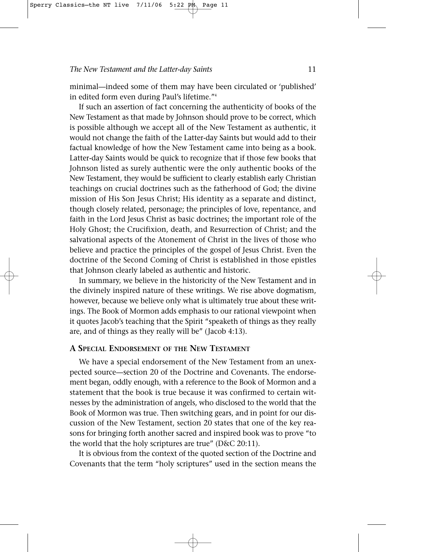minimal—indeed some of them may have been circulated or 'published' in edited form even during Paul's lifetime."4

If such an assertion of fact concerning the authenticity of books of the New Testament as that made by Johnson should prove to be correct, which is possible although we accept all of the New Testament as authentic, it would not change the faith of the Latter-day Saints but would add to their factual knowledge of how the New Testament came into being as a book. Latter-day Saints would be quick to recognize that if those few books that Johnson listed as surely authentic were the only authentic books of the New Testament, they would be sufficient to clearly establish early Christian teachings on crucial doctrines such as the fatherhood of God; the divine mission of His Son Jesus Christ; His identity as a separate and distinct, though closely related, personage; the principles of love, repentance, and faith in the Lord Jesus Christ as basic doctrines; the important role of the Holy Ghost; the Crucifixion, death, and Resurrection of Christ; and the salvational aspects of the Atonement of Christ in the lives of those who believe and practice the principles of the gospel of Jesus Christ. Even the doctrine of the Second Coming of Christ is established in those epistles that Johnson clearly labeled as authentic and historic.

In summary, we believe in the historicity of the New Testament and in the divinely inspired nature of these writings. We rise above dogmatism, however, because we believe only what is ultimately true about these writings. The Book of Mormon adds emphasis to our rational viewpoint when it quotes Jacob's teaching that the Spirit "speaketh of things as they really are, and of things as they really will be" (Jacob 4:13).

### **A SPECIAL ENDORSEMENT OF THE NEW TESTAMENT**

We have a special endorsement of the New Testament from an unexpected source—section 20 of the Doctrine and Covenants. The endorsement began, oddly enough, with a reference to the Book of Mormon and a statement that the book is true because it was confirmed to certain witnesses by the administration of angels, who disclosed to the world that the Book of Mormon was true. Then switching gears, and in point for our discussion of the New Testament, section 20 states that one of the key reasons for bringing forth another sacred and inspired book was to prove "to the world that the holy scriptures are true" (D&C 20:11).

It is obvious from the context of the quoted section of the Doctrine and Covenants that the term "holy scriptures" used in the section means the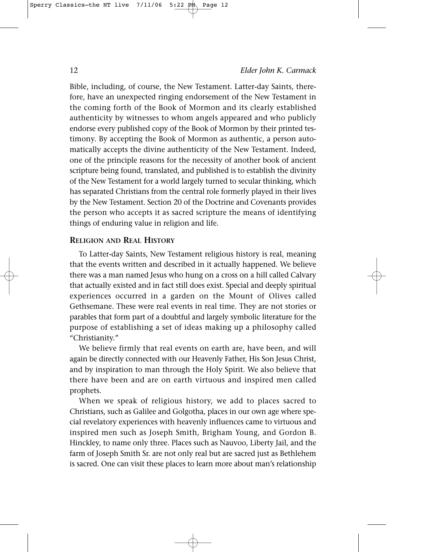Bible, including, of course, the New Testament. Latter-day Saints, therefore, have an unexpected ringing endorsement of the New Testament in the coming forth of the Book of Mormon and its clearly established authenticity by witnesses to whom angels appeared and who publicly endorse every published copy of the Book of Mormon by their printed testimony. By accepting the Book of Mormon as authentic, a person automatically accepts the divine authenticity of the New Testament. Indeed, one of the principle reasons for the necessity of another book of ancient scripture being found, translated, and published is to establish the divinity of the New Testament for a world largely turned to secular thinking, which has separated Christians from the central role formerly played in their lives by the New Testament. Section 20 of the Doctrine and Covenants provides the person who accepts it as sacred scripture the means of identifying things of enduring value in religion and life.

#### **RELIGION AND REAL HISTORY**

To Latter-day Saints, New Testament religious history is real, meaning that the events written and described in it actually happened. We believe there was a man named Jesus who hung on a cross on a hill called Calvary that actually existed and in fact still does exist. Special and deeply spiritual experiences occurred in a garden on the Mount of Olives called Gethsemane. These were real events in real time. They are not stories or parables that form part of a doubtful and largely symbolic literature for the purpose of establishing a set of ideas making up a philosophy called "Christianity."

We believe firmly that real events on earth are, have been, and will again be directly connected with our Heavenly Father, His Son Jesus Christ, and by inspiration to man through the Holy Spirit. We also believe that there have been and are on earth virtuous and inspired men called prophets.

When we speak of religious history, we add to places sacred to Christians, such as Galilee and Golgotha, places in our own age where special revelatory experiences with heavenly influences came to virtuous and inspired men such as Joseph Smith, Brigham Young, and Gordon B. Hinckley, to name only three. Places such as Nauvoo, Liberty Jail, and the farm of Joseph Smith Sr. are not only real but are sacred just as Bethlehem is sacred. One can visit these places to learn more about man's relationship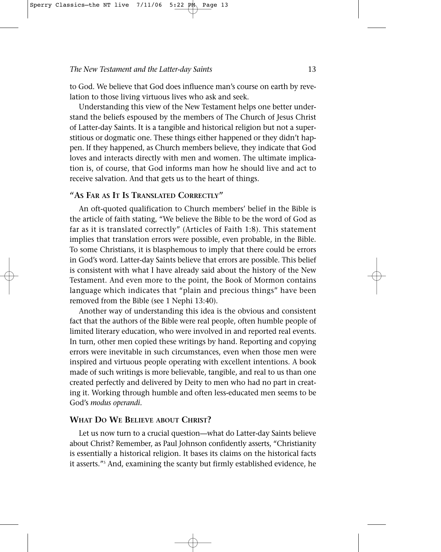to God. We believe that God does influence man's course on earth by revelation to those living virtuous lives who ask and seek.

Understanding this view of the New Testament helps one better understand the beliefs espoused by the members of The Church of Jesus Christ of Latter-day Saints. It is a tangible and historical religion but not a superstitious or dogmatic one. These things either happened or they didn't happen. If they happened, as Church members believe, they indicate that God loves and interacts directly with men and women. The ultimate implication is, of course, that God informs man how he should live and act to receive salvation. And that gets us to the heart of things.

#### **"AS FAR AS IT IS TRANSLATED CORRECTLY"**

An oft-quoted qualification to Church members' belief in the Bible is the article of faith stating, "We believe the Bible to be the word of God as far as it is translated correctly" (Articles of Faith 1:8). This statement implies that translation errors were possible, even probable, in the Bible. To some Christians, it is blasphemous to imply that there could be errors in God's word. Latter-day Saints believe that errors are possible. This belief is consistent with what I have already said about the history of the New Testament. And even more to the point, the Book of Mormon contains language which indicates that "plain and precious things" have been removed from the Bible (see 1 Nephi 13:40).

Another way of understanding this idea is the obvious and consistent fact that the authors of the Bible were real people, often humble people of limited literary education, who were involved in and reported real events. In turn, other men copied these writings by hand. Reporting and copying errors were inevitable in such circumstances, even when those men were inspired and virtuous people operating with excellent intentions. A book made of such writings is more believable, tangible, and real to us than one created perfectly and delivered by Deity to men who had no part in creating it. Working through humble and often less-educated men seems to be God's *modus operandi.*

# **WHAT DO WE BELIEVE ABOUT CHRIST?**

Let us now turn to a crucial question—what do Latter-day Saints believe about Christ? Remember, as Paul Johnson confidently asserts, "Christianity is essentially a historical religion. It bases its claims on the historical facts it asserts."5 And, examining the scanty but firmly established evidence, he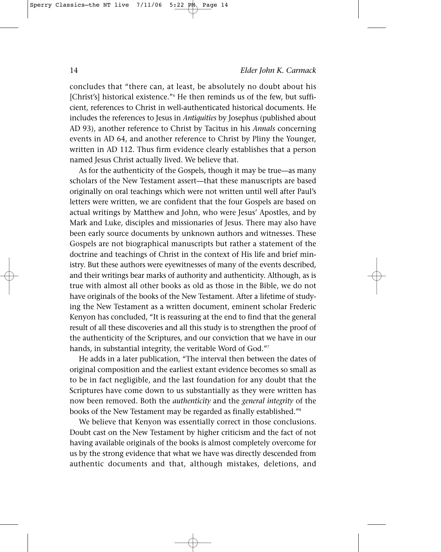concludes that "there can, at least, be absolutely no doubt about his [Christ's] historical existence."<sup>6</sup> He then reminds us of the few, but sufficient, references to Christ in well-authenticated historical documents. He includes the references to Jesus in *Antiquities* by Josephus (published about AD 93), another reference to Christ by Tacitus in his *Annals* concerning events in AD 64, and another reference to Christ by Pliny the Younger, written in AD 112. Thus firm evidence clearly establishes that a person named Jesus Christ actually lived. We believe that.

As for the authenticity of the Gospels, though it may be true—as many scholars of the New Testament assert—that these manuscripts are based originally on oral teachings which were not written until well after Paul's letters were written, we are confident that the four Gospels are based on actual writings by Matthew and John, who were Jesus' Apostles, and by Mark and Luke, disciples and missionaries of Jesus. There may also have been early source documents by unknown authors and witnesses. These Gospels are not biographical manuscripts but rather a statement of the doctrine and teachings of Christ in the context of His life and brief ministry. But these authors were eyewitnesses of many of the events described, and their writings bear marks of authority and authenticity. Although, as is true with almost all other books as old as those in the Bible, we do not have originals of the books of the New Testament. After a lifetime of studying the New Testament as a written document, eminent scholar Frederic Kenyon has concluded, "It is reassuring at the end to find that the general result of all these discoveries and all this study is to strengthen the proof of the authenticity of the Scriptures, and our conviction that we have in our hands, in substantial integrity, the veritable Word of God."<sup>7</sup>

He adds in a later publication, "The interval then between the dates of original composition and the earliest extant evidence becomes so small as to be in fact negligible, and the last foundation for any doubt that the Scriptures have come down to us substantially as they were written has now been removed. Both the *authenticity* and the *general integrity* of the books of the New Testament may be regarded as finally established."8

We believe that Kenyon was essentially correct in those conclusions. Doubt cast on the New Testament by higher criticism and the fact of not having available originals of the books is almost completely overcome for us by the strong evidence that what we have was directly descended from authentic documents and that, although mistakes, deletions, and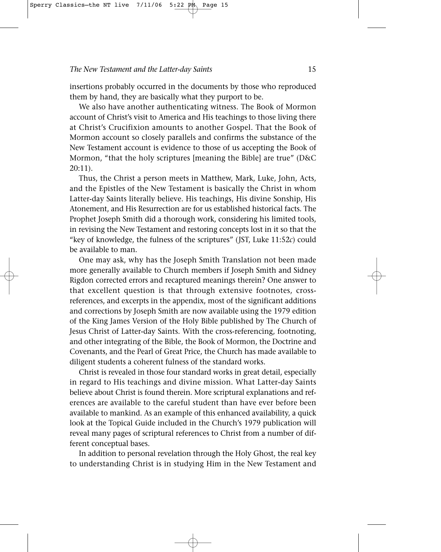insertions probably occurred in the documents by those who reproduced them by hand, they are basically what they purport to be.

We also have another authenticating witness. The Book of Mormon account of Christ's visit to America and His teachings to those living there at Christ's Crucifixion amounts to another Gospel. That the Book of Mormon account so closely parallels and confirms the substance of the New Testament account is evidence to those of us accepting the Book of Mormon, "that the holy scriptures [meaning the Bible] are true" (D&C 20:11).

Thus, the Christ a person meets in Matthew, Mark, Luke, John, Acts, and the Epistles of the New Testament is basically the Christ in whom Latter-day Saints literally believe. His teachings, His divine Sonship, His Atonement, and His Resurrection are for us established historical facts. The Prophet Joseph Smith did a thorough work, considering his limited tools, in revising the New Testament and restoring concepts lost in it so that the "key of knowledge, the fulness of the scriptures" (JST, Luke 11:52*c*) could be available to man.

One may ask, why has the Joseph Smith Translation not been made more generally available to Church members if Joseph Smith and Sidney Rigdon corrected errors and recaptured meanings therein? One answer to that excellent question is that through extensive footnotes, crossreferences, and excerpts in the appendix, most of the significant additions and corrections by Joseph Smith are now available using the 1979 edition of the King James Version of the Holy Bible published by The Church of Jesus Christ of Latter-day Saints. With the cross-referencing, footnoting, and other integrating of the Bible, the Book of Mormon, the Doctrine and Covenants, and the Pearl of Great Price, the Church has made available to diligent students a coherent fulness of the standard works.

Christ is revealed in those four standard works in great detail, especially in regard to His teachings and divine mission. What Latter-day Saints believe about Christ is found therein. More scriptural explanations and references are available to the careful student than have ever before been available to mankind. As an example of this enhanced availability, a quick look at the Topical Guide included in the Church's 1979 publication will reveal many pages of scriptural references to Christ from a number of different conceptual bases.

In addition to personal revelation through the Holy Ghost, the real key to understanding Christ is in studying Him in the New Testament and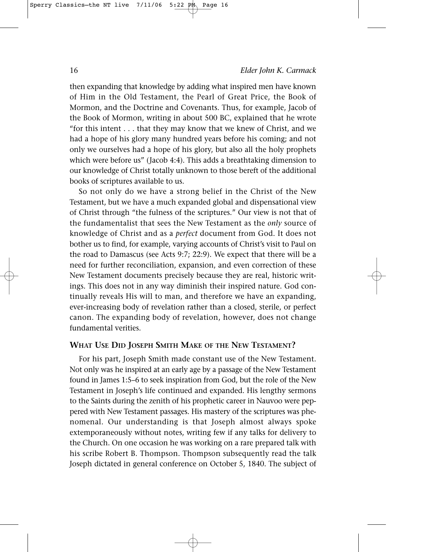then expanding that knowledge by adding what inspired men have known of Him in the Old Testament, the Pearl of Great Price, the Book of Mormon, and the Doctrine and Covenants. Thus, for example, Jacob of the Book of Mormon, writing in about 500 BC, explained that he wrote "for this intent . . . that they may know that we knew of Christ, and we had a hope of his glory many hundred years before his coming; and not only we ourselves had a hope of his glory, but also all the holy prophets which were before us" (Jacob 4:4). This adds a breathtaking dimension to our knowledge of Christ totally unknown to those bereft of the additional books of scriptures available to us.

So not only do we have a strong belief in the Christ of the New Testament, but we have a much expanded global and dispensational view of Christ through "the fulness of the scriptures." Our view is not that of the fundamentalist that sees the New Testament as the *only* source of knowledge of Christ and as a *perfect* document from God. It does not bother us to find, for example, varying accounts of Christ's visit to Paul on the road to Damascus (see Acts 9:7; 22:9). We expect that there will be a need for further reconciliation, expansion, and even correction of these New Testament documents precisely because they are real, historic writings. This does not in any way diminish their inspired nature. God continually reveals His will to man, and therefore we have an expanding, ever-increasing body of revelation rather than a closed, sterile, or perfect canon. The expanding body of revelation, however, does not change fundamental verities.

# **WHAT USE DID JOSEPH SMITH MAKE OF THE NEW TESTAMENT?**

For his part, Joseph Smith made constant use of the New Testament. Not only was he inspired at an early age by a passage of the New Testament found in James 1:5–6 to seek inspiration from God, but the role of the New Testament in Joseph's life continued and expanded. His lengthy sermons to the Saints during the zenith of his prophetic career in Nauvoo were peppered with New Testament passages. His mastery of the scriptures was phenomenal. Our understanding is that Joseph almost always spoke extemporaneously without notes, writing few if any talks for delivery to the Church. On one occasion he was working on a rare prepared talk with his scribe Robert B. Thompson. Thompson subsequently read the talk Joseph dictated in general conference on October 5, 1840. The subject of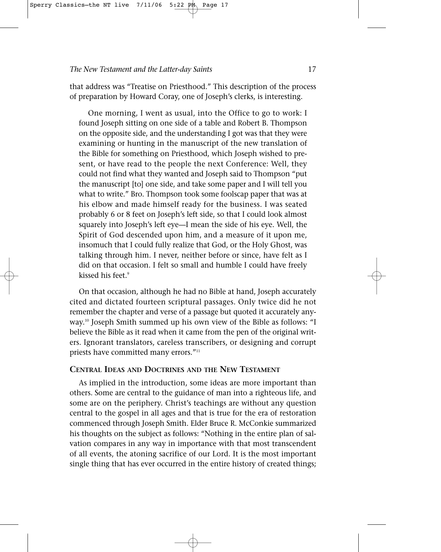that address was "Treatise on Priesthood." This description of the process of preparation by Howard Coray, one of Joseph's clerks, is interesting.

One morning, I went as usual, into the Office to go to work: I found Joseph sitting on one side of a table and Robert B. Thompson on the opposite side, and the understanding I got was that they were examining or hunting in the manuscript of the new translation of the Bible for something on Priesthood, which Joseph wished to present, or have read to the people the next Conference: Well, they could not find what they wanted and Joseph said to Thompson "put the manuscript [to] one side, and take some paper and I will tell you what to write." Bro. Thompson took some foolscap paper that was at his elbow and made himself ready for the business. I was seated probably 6 or 8 feet on Joseph's left side, so that I could look almost squarely into Joseph's left eye—I mean the side of his eye. Well, the Spirit of God descended upon him, and a measure of it upon me, insomuch that I could fully realize that God, or the Holy Ghost, was talking through him. I never, neither before or since, have felt as I did on that occasion. I felt so small and humble I could have freely kissed his feet.<sup>9</sup>

On that occasion, although he had no Bible at hand, Joseph accurately cited and dictated fourteen scriptural passages. Only twice did he not remember the chapter and verse of a passage but quoted it accurately anyway.10 Joseph Smith summed up his own view of the Bible as follows: "I believe the Bible as it read when it came from the pen of the original writers. Ignorant translators, careless transcribers, or designing and corrupt priests have committed many errors."<sup>11</sup>

## **CENTRAL IDEAS AND DOCTRINES AND THE NEW TESTAMENT**

As implied in the introduction, some ideas are more important than others. Some are central to the guidance of man into a righteous life, and some are on the periphery. Christ's teachings are without any question central to the gospel in all ages and that is true for the era of restoration commenced through Joseph Smith. Elder Bruce R. McConkie summarized his thoughts on the subject as follows: "Nothing in the entire plan of salvation compares in any way in importance with that most transcendent of all events, the atoning sacrifice of our Lord. It is the most important single thing that has ever occurred in the entire history of created things;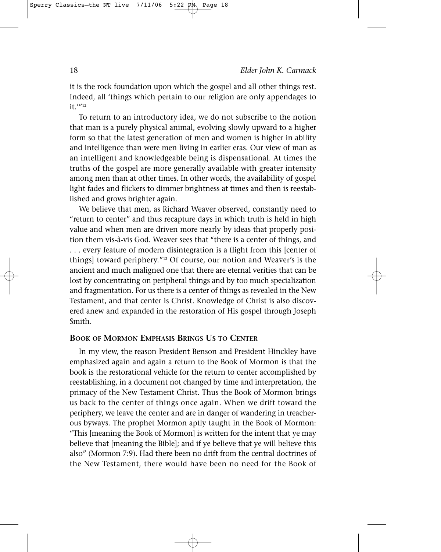it is the rock foundation upon which the gospel and all other things rest. Indeed, all 'things which pertain to our religion are only appendages to it.'"12

To return to an introductory idea, we do not subscribe to the notion that man is a purely physical animal, evolving slowly upward to a higher form so that the latest generation of men and women is higher in ability and intelligence than were men living in earlier eras. Our view of man as an intelligent and knowledgeable being is dispensational. At times the truths of the gospel are more generally available with greater intensity among men than at other times. In other words, the availability of gospel light fades and flickers to dimmer brightness at times and then is reestablished and grows brighter again.

We believe that men, as Richard Weaver observed, constantly need to "return to center" and thus recapture days in which truth is held in high value and when men are driven more nearly by ideas that properly position them vis-à-vis God. Weaver sees that "there is a center of things, and . . . every feature of modern disintegration is a flight from this [center of things] toward periphery."13 Of course, our notion and Weaver's is the ancient and much maligned one that there are eternal verities that can be lost by concentrating on peripheral things and by too much specialization and fragmentation. For us there is a center of things as revealed in the New Testament, and that center is Christ. Knowledge of Christ is also discovered anew and expanded in the restoration of His gospel through Joseph Smith.

# **BOOK OF MORMON EMPHASIS BRINGS US TO CENTER**

In my view, the reason President Benson and President Hinckley have emphasized again and again a return to the Book of Mormon is that the book is the restorational vehicle for the return to center accomplished by reestablishing, in a document not changed by time and interpretation, the primacy of the New Testament Christ. Thus the Book of Mormon brings us back to the center of things once again. When we drift toward the periphery, we leave the center and are in danger of wandering in treacherous byways. The prophet Mormon aptly taught in the Book of Mormon: "This [meaning the Book of Mormon] is written for the intent that ye may believe that [meaning the Bible]; and if ye believe that ye will believe this also" (Mormon 7:9). Had there been no drift from the central doctrines of the New Testament, there would have been no need for the Book of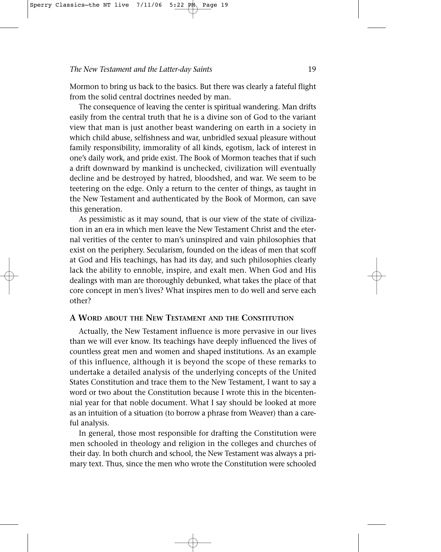Mormon to bring us back to the basics. But there was clearly a fateful flight from the solid central doctrines needed by man.

The consequence of leaving the center is spiritual wandering. Man drifts easily from the central truth that he is a divine son of God to the variant view that man is just another beast wandering on earth in a society in which child abuse, selfishness and war, unbridled sexual pleasure without family responsibility, immorality of all kinds, egotism, lack of interest in one's daily work, and pride exist. The Book of Mormon teaches that if such a drift downward by mankind is unchecked, civilization will eventually decline and be destroyed by hatred, bloodshed, and war. We seem to be teetering on the edge. Only a return to the center of things, as taught in the New Testament and authenticated by the Book of Mormon, can save this generation.

As pessimistic as it may sound, that is our view of the state of civilization in an era in which men leave the New Testament Christ and the eternal verities of the center to man's uninspired and vain philosophies that exist on the periphery. Secularism, founded on the ideas of men that scoff at God and His teachings, has had its day, and such philosophies clearly lack the ability to ennoble, inspire, and exalt men. When God and His dealings with man are thoroughly debunked, what takes the place of that core concept in men's lives? What inspires men to do well and serve each other?

#### **A WORD ABOUT THE NEW TESTAMENT AND THE CONSTITUTION**

Actually, the New Testament influence is more pervasive in our lives than we will ever know. Its teachings have deeply influenced the lives of countless great men and women and shaped institutions. As an example of this influence, although it is beyond the scope of these remarks to undertake a detailed analysis of the underlying concepts of the United States Constitution and trace them to the New Testament, I want to say a word or two about the Constitution because I wrote this in the bicentennial year for that noble document. What I say should be looked at more as an intuition of a situation (to borrow a phrase from Weaver) than a careful analysis.

In general, those most responsible for drafting the Constitution were men schooled in theology and religion in the colleges and churches of their day. In both church and school, the New Testament was always a primary text. Thus, since the men who wrote the Constitution were schooled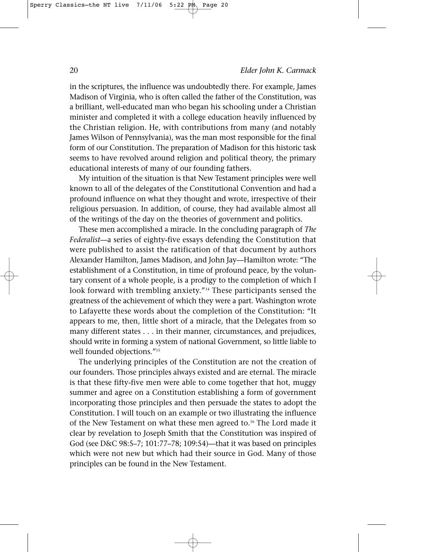in the scriptures, the influence was undoubtedly there. For example, James Madison of Virginia, who is often called the father of the Constitution, was a brilliant, well-educated man who began his schooling under a Christian minister and completed it with a college education heavily influenced by the Christian religion. He, with contributions from many (and notably James Wilson of Pennsylvania), was the man most responsible for the final form of our Constitution. The preparation of Madison for this historic task seems to have revolved around religion and political theory, the primary educational interests of many of our founding fathers.

My intuition of the situation is that New Testament principles were well known to all of the delegates of the Constitutional Convention and had a profound influence on what they thought and wrote, irrespective of their religious persuasion. In addition, of course, they had available almost all of the writings of the day on the theories of government and politics.

These men accomplished a miracle. In the concluding paragraph of *The Federalist*—a series of eighty-five essays defending the Constitution that were published to assist the ratification of that document by authors Alexander Hamilton, James Madison, and John Jay—Hamilton wrote: "The establishment of a Constitution, in time of profound peace, by the voluntary consent of a whole people, is a prodigy to the completion of which I look forward with trembling anxiety."14 These participants sensed the greatness of the achievement of which they were a part. Washington wrote to Lafayette these words about the completion of the Constitution: "It appears to me, then, little short of a miracle, that the Delegates from so many different states . . . in their manner, circumstances, and prejudices, should write in forming a system of national Government, so little liable to well founded objections."<sup>15</sup>

The underlying principles of the Constitution are not the creation of our founders. Those principles always existed and are eternal. The miracle is that these fifty-five men were able to come together that hot, muggy summer and agree on a Constitution establishing a form of government incorporating those principles and then persuade the states to adopt the Constitution. I will touch on an example or two illustrating the influence of the New Testament on what these men agreed to.<sup>16</sup> The Lord made it clear by revelation to Joseph Smith that the Constitution was inspired of God (see D&C 98:5–7; 101:77–78; 109:54)—that it was based on principles which were not new but which had their source in God. Many of those principles can be found in the New Testament.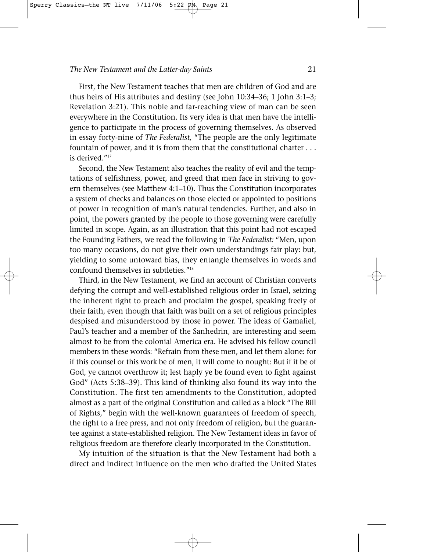First, the New Testament teaches that men are children of God and are thus heirs of His attributes and destiny (see John 10:34–36; 1 John 3:1–3; Revelation 3:21). This noble and far-reaching view of man can be seen everywhere in the Constitution. Its very idea is that men have the intelligence to participate in the process of governing themselves. As observed in essay forty-nine of *The Federalist,* "The people are the only legitimate fountain of power, and it is from them that the constitutional charter . . . is derived."17

Second, the New Testament also teaches the reality of evil and the temptations of selfishness, power, and greed that men face in striving to govern themselves (see Matthew 4:1–10). Thus the Constitution incorporates a system of checks and balances on those elected or appointed to positions of power in recognition of man's natural tendencies. Further, and also in point, the powers granted by the people to those governing were carefully limited in scope. Again, as an illustration that this point had not escaped the Founding Fathers, we read the following in *The Federalist:* "Men, upon too many occasions, do not give their own understandings fair play: but, yielding to some untoward bias, they entangle themselves in words and confound themselves in subtleties."18

Third, in the New Testament, we find an account of Christian converts defying the corrupt and well-established religious order in Israel, seizing the inherent right to preach and proclaim the gospel, speaking freely of their faith, even though that faith was built on a set of religious principles despised and misunderstood by those in power. The ideas of Gamaliel, Paul's teacher and a member of the Sanhedrin, are interesting and seem almost to be from the colonial America era. He advised his fellow council members in these words: "Refrain from these men, and let them alone: for if this counsel or this work be of men, it will come to nought: But if it be of God, ye cannot overthrow it; lest haply ye be found even to fight against God" (Acts 5:38–39). This kind of thinking also found its way into the Constitution. The first ten amendments to the Constitution, adopted almost as a part of the original Constitution and called as a block "The Bill of Rights," begin with the well-known guarantees of freedom of speech, the right to a free press, and not only freedom of religion, but the guarantee against a state-established religion. The New Testament ideas in favor of religious freedom are therefore clearly incorporated in the Constitution.

My intuition of the situation is that the New Testament had both a direct and indirect influence on the men who drafted the United States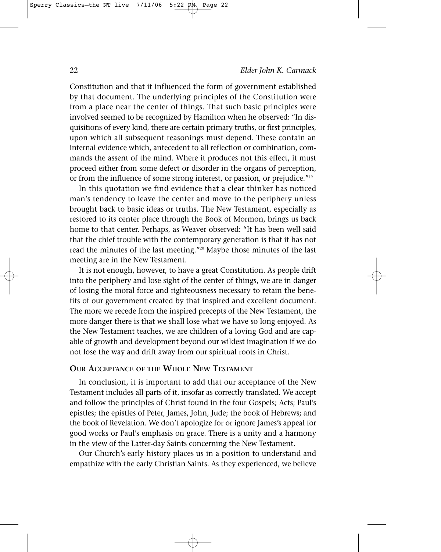Constitution and that it influenced the form of government established by that document. The underlying principles of the Constitution were from a place near the center of things. That such basic principles were involved seemed to be recognized by Hamilton when he observed: "In disquisitions of every kind, there are certain primary truths, or first principles, upon which all subsequent reasonings must depend. These contain an internal evidence which, antecedent to all reflection or combination, commands the assent of the mind. Where it produces not this effect, it must proceed either from some defect or disorder in the organs of perception, or from the influence of some strong interest, or passion, or prejudice."19

In this quotation we find evidence that a clear thinker has noticed man's tendency to leave the center and move to the periphery unless brought back to basic ideas or truths. The New Testament, especially as restored to its center place through the Book of Mormon, brings us back home to that center. Perhaps, as Weaver observed: "It has been well said that the chief trouble with the contemporary generation is that it has not read the minutes of the last meeting."20 Maybe those minutes of the last meeting are in the New Testament.

It is not enough, however, to have a great Constitution. As people drift into the periphery and lose sight of the center of things, we are in danger of losing the moral force and righteousness necessary to retain the benefits of our government created by that inspired and excellent document. The more we recede from the inspired precepts of the New Testament, the more danger there is that we shall lose what we have so long enjoyed. As the New Testament teaches, we are children of a loving God and are capable of growth and development beyond our wildest imagination if we do not lose the way and drift away from our spiritual roots in Christ.

# **OUR ACCEPTANCE OF THE WHOLE NEW TESTAMENT**

In conclusion, it is important to add that our acceptance of the New Testament includes all parts of it, insofar as correctly translated. We accept and follow the principles of Christ found in the four Gospels; Acts; Paul's epistles; the epistles of Peter, James, John, Jude; the book of Hebrews; and the book of Revelation. We don't apologize for or ignore James's appeal for good works or Paul's emphasis on grace. There is a unity and a harmony in the view of the Latter-day Saints concerning the New Testament.

Our Church's early history places us in a position to understand and empathize with the early Christian Saints. As they experienced, we believe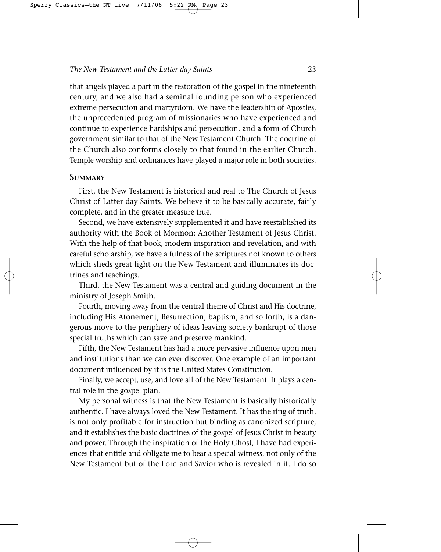that angels played a part in the restoration of the gospel in the nineteenth century, and we also had a seminal founding person who experienced extreme persecution and martyrdom. We have the leadership of Apostles, the unprecedented program of missionaries who have experienced and continue to experience hardships and persecution, and a form of Church government similar to that of the New Testament Church. The doctrine of the Church also conforms closely to that found in the earlier Church. Temple worship and ordinances have played a major role in both societies.

#### **SUMMARY**

First, the New Testament is historical and real to The Church of Jesus Christ of Latter-day Saints. We believe it to be basically accurate, fairly complete, and in the greater measure true.

Second, we have extensively supplemented it and have reestablished its authority with the Book of Mormon: Another Testament of Jesus Christ. With the help of that book, modern inspiration and revelation, and with careful scholarship, we have a fulness of the scriptures not known to others which sheds great light on the New Testament and illuminates its doctrines and teachings.

Third, the New Testament was a central and guiding document in the ministry of Joseph Smith.

Fourth, moving away from the central theme of Christ and His doctrine, including His Atonement, Resurrection, baptism, and so forth, is a dangerous move to the periphery of ideas leaving society bankrupt of those special truths which can save and preserve mankind.

Fifth, the New Testament has had a more pervasive influence upon men and institutions than we can ever discover. One example of an important document influenced by it is the United States Constitution.

Finally, we accept, use, and love all of the New Testament. It plays a central role in the gospel plan.

My personal witness is that the New Testament is basically historically authentic. I have always loved the New Testament. It has the ring of truth, is not only profitable for instruction but binding as canonized scripture, and it establishes the basic doctrines of the gospel of Jesus Christ in beauty and power. Through the inspiration of the Holy Ghost, I have had experiences that entitle and obligate me to bear a special witness, not only of the New Testament but of the Lord and Savior who is revealed in it. I do so